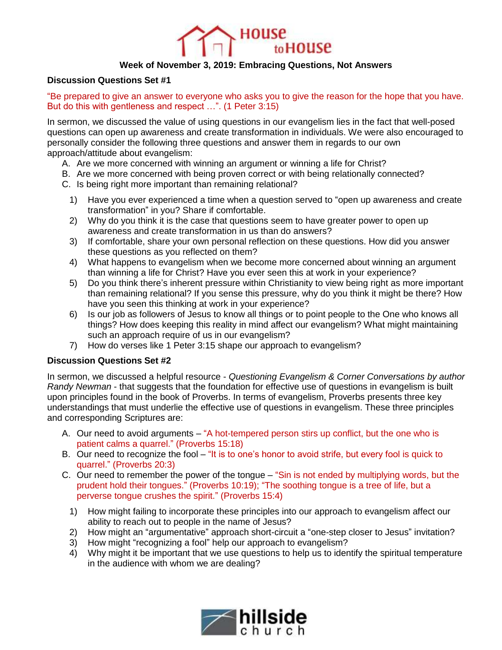

## **Week of November 3, 2019: Embracing Questions, Not Answers**

## **Discussion Questions Set #1**

"Be prepared to give an answer to everyone who asks you to give the reason for the hope that you have. But do this with gentleness and respect …". (1 Peter 3:15)

In sermon, we discussed the value of using questions in our evangelism lies in the fact that well-posed questions can open up awareness and create transformation in individuals. We were also encouraged to personally consider the following three questions and answer them in regards to our own approach/attitude about evangelism:

- A. Are we more concerned with winning an argument or winning a life for Christ?
- B. Are we more concerned with being proven correct or with being relationally connected?
- C. Is being right more important than remaining relational?
	- 1) Have you ever experienced a time when a question served to "open up awareness and create transformation" in you? Share if comfortable.
	- 2) Why do you think it is the case that questions seem to have greater power to open up awareness and create transformation in us than do answers?
	- 3) If comfortable, share your own personal reflection on these questions. How did you answer these questions as you reflected on them?
	- 4) What happens to evangelism when we become more concerned about winning an argument than winning a life for Christ? Have you ever seen this at work in your experience?
	- 5) Do you think there's inherent pressure within Christianity to view being right as more important than remaining relational? If you sense this pressure, why do you think it might be there? How have you seen this thinking at work in your experience?
	- 6) Is our job as followers of Jesus to know all things or to point people to the One who knows all things? How does keeping this reality in mind affect our evangelism? What might maintaining such an approach require of us in our evangelism?
	- 7) How do verses like 1 Peter 3:15 shape our approach to evangelism?

## **Discussion Questions Set #2**

In sermon, we discussed a helpful resource - *Questioning Evangelism & Corner Conversations by author Randy Newman* - that suggests that the foundation for effective use of questions in evangelism is built upon principles found in the book of Proverbs. In terms of evangelism, Proverbs presents three key understandings that must underlie the effective use of questions in evangelism. These three principles and corresponding Scriptures are:

- A. Our need to avoid arguments "A hot-tempered person stirs up conflict, but the one who is patient calms a quarrel." (Proverbs 15:18)
- B. Our need to recognize the fool "It is to one's honor to avoid strife, but every fool is quick to quarrel." (Proverbs 20:3)
- C. Our need to remember the power of the tongue "Sin is not ended by multiplying words, but the prudent hold their tongues." (Proverbs 10:19); "The soothing tongue is a tree of life, but a perverse tongue crushes the spirit." (Proverbs 15:4)
	- 1) How might failing to incorporate these principles into our approach to evangelism affect our ability to reach out to people in the name of Jesus?
	- 2) How might an "argumentative" approach short-circuit a "one-step closer to Jesus" invitation?
	- 3) How might "recognizing a fool" help our approach to evangelism?
	- 4) Why might it be important that we use questions to help us to identify the spiritual temperature in the audience with whom we are dealing?